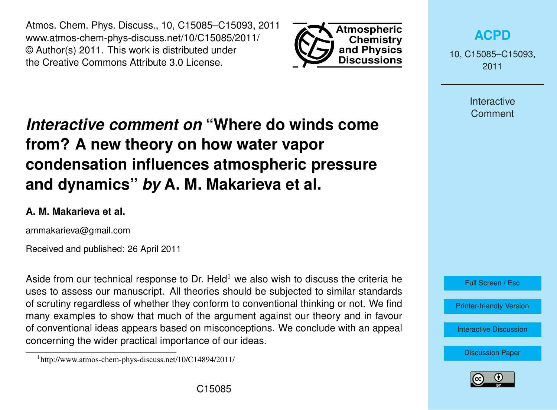Atmos. Chem. Phys. Discuss., 10, C15085–C15093, 2011 www.atmos-chem-phys-discuss.net/10/C15085/2011/ © Author(s) 2011. This work is distributed under the Creative Commons Attribute 3.0 License.



**[ACPD](http://www.atmos-chem-phys-discuss.net)**

10, C15085–C15093, 2011

> Interactive **Comment**

# *Interactive comment on* **"Where do winds come from? A new theory on how water vapor condensation influences atmospheric pressure and dynamics"** *by* **A. M. Makarieva et al.**

## **A. M. Makarieva et al.**

ammakarieva@gmail.com

Received and published: 26 April 2011

Aside from our technical response to Dr. Held<sup>1</sup> we also wish to discuss the criteria he uses to assess our manuscript. All theories should be subjected to similar standards of scrutiny regardless of whether they conform to conventional thinking or not. We find many examples to show that much of the argument against our theory and in favour of conventional ideas appears based on misconceptions. We conclude with an appeal concerning the wider practical importance of our ideas.





<sup>1</sup> http://www.atmos-chem-phys-discuss.net/10/C14894/2011/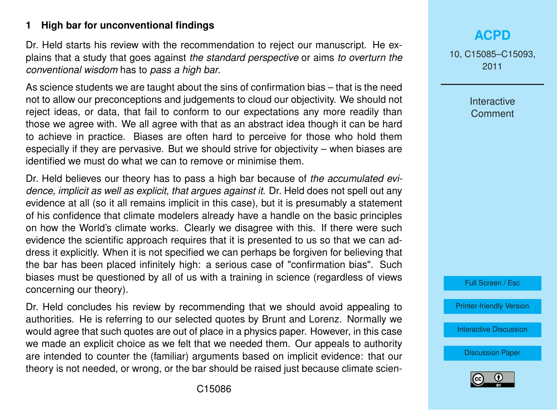## **1 High bar for unconventional findings**

Dr. Held starts his review with the recommendation to reject our manuscript. He explains that a study that goes against *the standard perspective* or aims *to overturn the conventional wisdom* has to *pass a high bar*.

As science students we are taught about the sins of confirmation bias – that is the need not to allow our preconceptions and judgements to cloud our objectivity. We should not reject ideas, or data, that fail to conform to our expectations any more readily than those we agree with. We all agree with that as an abstract idea though it can be hard to achieve in practice. Biases are often hard to perceive for those who hold them especially if they are pervasive. But we should strive for objectivity – when biases are identified we must do what we can to remove or minimise them.

Dr. Held believes our theory has to pass a high bar because of *the accumulated evidence, implicit as well as explicit, that argues against it*. Dr. Held does not spell out any evidence at all (so it all remains implicit in this case), but it is presumably a statement of his confidence that climate modelers already have a handle on the basic principles on how the World's climate works. Clearly we disagree with this. If there were such evidence the scientific approach requires that it is presented to us so that we can address it explicitly. When it is not specified we can perhaps be forgiven for believing that the bar has been placed infinitely high: a serious case of "confirmation bias". Such biases must be questioned by all of us with a training in science (regardless of views concerning our theory).

Dr. Held concludes his review by recommending that we should avoid appealing to authorities. He is referring to our selected quotes by Brunt and Lorenz. Normally we would agree that such quotes are out of place in a physics paper. However, in this case we made an explicit choice as we felt that we needed them. Our appeals to authority are intended to counter the (familiar) arguments based on implicit evidence: that our theory is not needed, or wrong, or the bar should be raised just because climate scien-

# **[ACPD](http://www.atmos-chem-phys-discuss.net)**

10, C15085–C15093, 2011

> Interactive **Comment**



[Printer-friendly Version](http://www.atmos-chem-phys-discuss.net/10/C15085/2011/acpd-10-C15085-2011-print.pdf)

[Interactive Discussion](http://www.atmos-chem-phys-discuss.net/10/24015/2010/acpd-10-24015-2010-discussion.html)

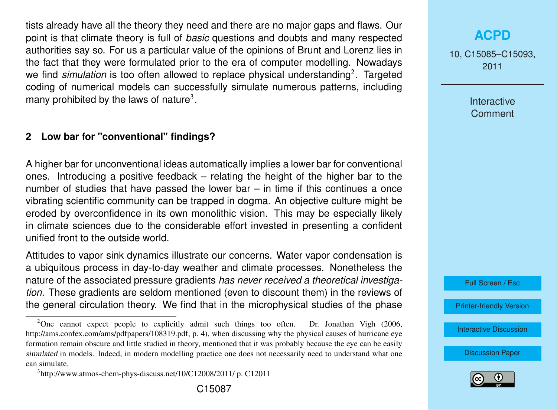tists already have all the theory they need and there are no major gaps and flaws. Our point is that climate theory is full of *basic* questions and doubts and many respected authorities say so. For us a particular value of the opinions of Brunt and Lorenz lies in the fact that they were formulated prior to the era of computer modelling. Nowadays we find simulation is too often allowed to replace physical understanding<sup>2</sup>. Targeted coding of numerical models can successfully simulate numerous patterns, including many prohibited by the laws of nature<sup>3</sup>.

#### **2 Low bar for "conventional" findings?**

A higher bar for unconventional ideas automatically implies a lower bar for conventional ones. Introducing a positive feedback – relating the height of the higher bar to the number of studies that have passed the lower bar  $-$  in time if this continues a once vibrating scientific community can be trapped in dogma. An objective culture might be eroded by overconfidence in its own monolithic vision. This may be especially likely in climate sciences due to the considerable effort invested in presenting a confident unified front to the outside world.

Attitudes to vapor sink dynamics illustrate our concerns. Water vapor condensation is a ubiquitous process in day-to-day weather and climate processes. Nonetheless the nature of the associated pressure gradients *has never received a theoretical investigation.* These gradients are seldom mentioned (even to discount them) in the reviews of the general circulation theory. We find that in the microphysical studies of the phase 10, C15085–C15093, 2011

> Interactive **Comment**



[Printer-friendly Version](http://www.atmos-chem-phys-discuss.net/10/C15085/2011/acpd-10-C15085-2011-print.pdf)

[Interactive Discussion](http://www.atmos-chem-phys-discuss.net/10/24015/2010/acpd-10-24015-2010-discussion.html)



<sup>&</sup>lt;sup>2</sup>One cannot expect people to explicitly admit such things too often. Dr. Jonathan Vigh (2006, http://ams.confex.com/ams/pdfpapers/108319.pdf, p. 4), when discussing why the physical causes of hurricane eye formation remain obscure and little studied in theory, mentioned that it was probably because the eye can be easily simulated in models. Indeed, in modern modelling practice one does not necessarily need to understand what one can simulate.

<sup>3</sup> http://www.atmos-chem-phys-discuss.net/10/C12008/2011/ p. C12011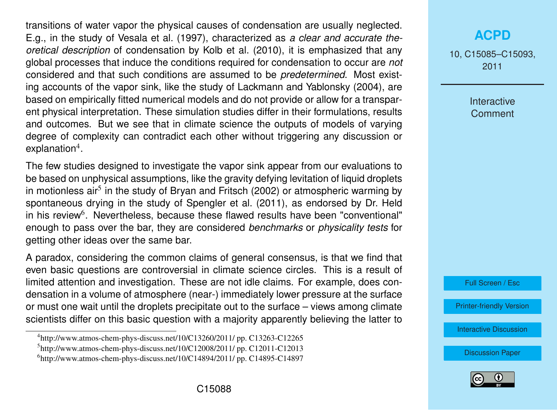transitions of water vapor the physical causes of condensation are usually neglected. E.g., in the study of [Vesala et al.](#page-8-0) [\(1997\)](#page-8-0), characterized as *a clear and accurate theoretical description* of condensation by [Kolb et al.](#page-8-0) [\(2010\)](#page-8-0), it is emphasized that any global processes that induce the conditions required for condensation to occur are *not* considered and that such conditions are assumed to be *predetermined*. Most existing accounts of the vapor sink, like the study of [Lackmann and Yablonsky](#page-8-0) [\(2004\)](#page-8-0), are based on empirically fitted numerical models and do not provide or allow for a transparent physical interpretation. These simulation studies differ in their formulations, results and outcomes. But we see that in climate science the outputs of models of varying degree of complexity can contradict each other without triggering any discussion or explanation<sup>4</sup>.

The few studies designed to investigate the vapor sink appear from our evaluations to be based on unphysical assumptions, like the gravity defying levitation of liquid droplets in motionless air<sup>5</sup> in the study of [Bryan and Fritsch](#page-7-0) [\(2002\)](#page-7-0) or atmospheric warming by spontaneous drying in the study of [Spengler et al.](#page-8-0) [\(2011\)](#page-8-0), as endorsed by Dr. Held in his review<sup>6</sup>. Nevertheless, because these flawed results have been "conventional" enough to pass over the bar, they are considered *benchmarks* or *physicality tests* for getting other ideas over the same bar.

A paradox, considering the common claims of general consensus, is that we find that even basic questions are controversial in climate science circles. This is a result of limited attention and investigation. These are not idle claims. For example, does condensation in a volume of atmosphere (near-) immediately lower pressure at the surface or must one wait until the droplets precipitate out to the surface – views among climate scientists differ on this basic question with a majority apparently believing the latter to

# **[ACPD](http://www.atmos-chem-phys-discuss.net)**

10, C15085–C15093, 2011

> Interactive **Comment**



[Printer-friendly Version](http://www.atmos-chem-phys-discuss.net/10/C15085/2011/acpd-10-C15085-2011-print.pdf)

[Interactive Discussion](http://www.atmos-chem-phys-discuss.net/10/24015/2010/acpd-10-24015-2010-discussion.html)



<sup>4</sup> http://www.atmos-chem-phys-discuss.net/10/C13260/2011/ pp. C13263-C12265

<sup>5</sup> http://www.atmos-chem-phys-discuss.net/10/C12008/2011/ pp. C12011-C12013

 $<sup>6</sup>$ http://www.atmos-chem-phys-discuss.net/10/C14894/2011/ pp. C14895-C14897</sup>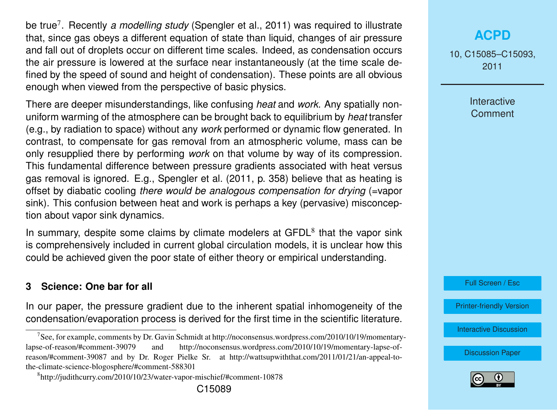be true<sup>7</sup> . Recently *a modelling study* [\(Spengler et al.,](#page-8-0) [2011\)](#page-8-0) was required to illustrate that, since gas obeys a different equation of state than liquid, changes of air pressure and fall out of droplets occur on different time scales. Indeed, as condensation occurs the air pressure is lowered at the surface near instantaneously (at the time scale defined by the speed of sound and height of condensation). These points are all obvious enough when viewed from the perspective of basic physics.

There are deeper misunderstandings, like confusing *heat* and *work*. Any spatially nonuniform warming of the atmosphere can be brought back to equilibrium by *heat* transfer (e.g., by radiation to space) without any *work* performed or dynamic flow generated. In contrast, to compensate for gas removal from an atmospheric volume, mass can be only resupplied there by performing *work* on that volume by way of its compression. This fundamental difference between pressure gradients associated with heat versus gas removal is ignored. E.g., [Spengler et al.](#page-8-0) [\(2011,](#page-8-0) p. 358) believe that as heating is offset by diabatic cooling *there would be analogous compensation for drying* (=vapor sink). This confusion between heat and work is perhaps a key (pervasive) misconception about vapor sink dynamics.

In summary, despite some claims by climate modelers at  $GFDL<sup>8</sup>$  that the vapor sink is comprehensively included in current global circulation models, it is unclear how this could be achieved given the poor state of either theory or empirical understanding.

#### **3 Science: One bar for all**

In our paper, the pressure gradient due to the inherent spatial inhomogeneity of the condensation/evaporation process is derived for the first time in the scientific literature. 10, C15085–C15093, 2011

> **Interactive Comment**

Full Screen / Esc

[Printer-friendly Version](http://www.atmos-chem-phys-discuss.net/10/C15085/2011/acpd-10-C15085-2011-print.pdf)

[Interactive Discussion](http://www.atmos-chem-phys-discuss.net/10/24015/2010/acpd-10-24015-2010-discussion.html)



<sup>7</sup> See, for example, comments by Dr. Gavin Schmidt at http://noconsensus.wordpress.com/2010/10/19/momentarylapse-of-reason/#comment-39079 and http://noconsensus.wordpress.com/2010/10/19/momentary-lapse-ofreason/#comment-39087 and by Dr. Roger Pielke Sr. at http://wattsupwiththat.com/2011/01/21/an-appeal-tothe-climate-science-blogosphere/#comment-588301

<sup>8</sup> http://judithcurry.com/2010/10/23/water-vapor-mischief/#comment-10878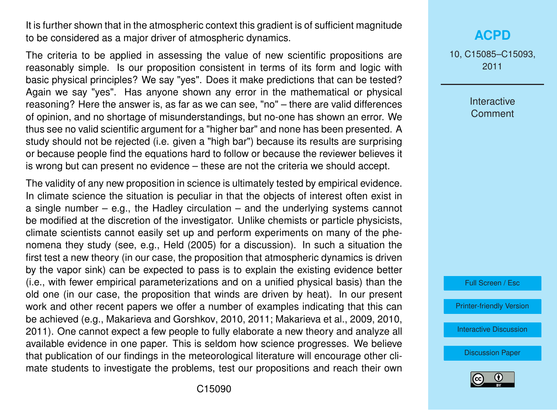It is further shown that in the atmospheric context this gradient is of sufficient magnitude to be considered as a major driver of atmospheric dynamics.

The criteria to be applied in assessing the value of new scientific propositions are reasonably simple. Is our proposition consistent in terms of its form and logic with basic physical principles? We say "yes". Does it make predictions that can be tested? Again we say "yes". Has anyone shown any error in the mathematical or physical reasoning? Here the answer is, as far as we can see, "no" – there are valid differences of opinion, and no shortage of misunderstandings, but no-one has shown an error. We thus see no valid scientific argument for a "higher bar" and none has been presented. A study should not be rejected (i.e. given a "high bar") because its results are surprising or because people find the equations hard to follow or because the reviewer believes it is wrong but can present no evidence – these are not the criteria we should accept.

The validity of any new proposition in science is ultimately tested by empirical evidence. In climate science the situation is peculiar in that the objects of interest often exist in a single number  $-$  e.g., the Hadley circulation  $-$  and the underlying systems cannot be modified at the discretion of the investigator. Unlike chemists or particle physicists, climate scientists cannot easily set up and perform experiments on many of the phenomena they study (see, e.g., [Held](#page-8-0) [\(2005\)](#page-8-0) for a discussion). In such a situation the first test a new theory (in our case, the proposition that atmospheric dynamics is driven by the vapor sink) can be expected to pass is to explain the existing evidence better (i.e., with fewer empirical parameterizations and on a unified physical basis) than the old one (in our case, the proposition that winds are driven by heat). In our present work and other recent papers we offer a number of examples indicating that this can be achieved (e.g., [Makarieva and Gorshkov,](#page-7-0) [2010,](#page-7-0) [2011;](#page-7-0) [Makarieva et al.,](#page-8-0) [2009,](#page-8-0) [2010,](#page-8-0) [2011\)](#page-8-0). One cannot expect a few people to fully elaborate a new theory and analyze all available evidence in one paper. This is seldom how science progresses. We believe that publication of our findings in the meteorological literature will encourage other climate students to investigate the problems, test our propositions and reach their own

10, C15085–C15093, 2011

> Interactive **Comment**



[Printer-friendly Version](http://www.atmos-chem-phys-discuss.net/10/C15085/2011/acpd-10-C15085-2011-print.pdf)

[Interactive Discussion](http://www.atmos-chem-phys-discuss.net/10/24015/2010/acpd-10-24015-2010-discussion.html)

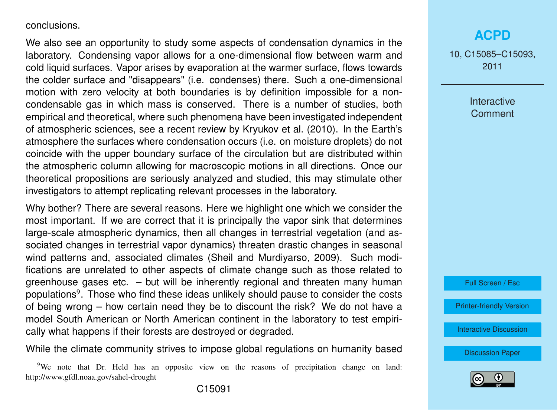#### conclusions.

We also see an opportunity to study some aspects of condensation dynamics in the laboratory. Condensing vapor allows for a one-dimensional flow between warm and cold liquid surfaces. Vapor arises by evaporation at the warmer surface, flows towards the colder surface and "disappears" (i.e. condenses) there. Such a one-dimensional motion with zero velocity at both boundaries is by definition impossible for a noncondensable gas in which mass is conserved. There is a number of studies, both empirical and theoretical, where such phenomena have been investigated independent of atmospheric sciences, see a recent review by [Kryukov et al.](#page-8-0) [\(2010\)](#page-8-0). In the Earth's atmosphere the surfaces where condensation occurs (i.e. on moisture droplets) do not coincide with the upper boundary surface of the circulation but are distributed within the atmospheric column allowing for macroscopic motions in all directions. Once our theoretical propositions are seriously analyzed and studied, this may stimulate other investigators to attempt replicating relevant processes in the laboratory.

Why bother? There are several reasons. Here we highlight one which we consider the most important. If we are correct that it is principally the vapor sink that determines large-scale atmospheric dynamics, then all changes in terrestrial vegetation (and associated changes in terrestrial vapor dynamics) threaten drastic changes in seasonal wind patterns and, associated climates [\(Sheil and Murdiyarso,](#page-8-0) [2009\)](#page-8-0). Such modifications are unrelated to other aspects of climate change such as those related to greenhouse gases etc. – but will be inherently regional and threaten many human populations<sup>9</sup>. Those who find these ideas unlikely should pause to consider the costs of being wrong – how certain need they be to discount the risk? We do not have a model South American or North American continent in the laboratory to test empirically what happens if their forests are destroyed or degraded.

While the climate community strives to impose global regulations on humanity based

10, C15085–C15093, 2011

> **Interactive Comment**

Full Screen / Esc

[Printer-friendly Version](http://www.atmos-chem-phys-discuss.net/10/C15085/2011/acpd-10-C15085-2011-print.pdf)

[Interactive Discussion](http://www.atmos-chem-phys-discuss.net/10/24015/2010/acpd-10-24015-2010-discussion.html)



<sup>9</sup>We note that Dr. Held has an opposite view on the reasons of precipitation change on land: http://www.gfdl.noaa.gov/sahel-drought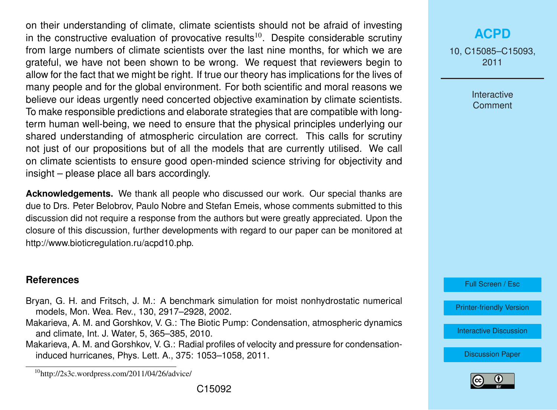<span id="page-7-0"></span>on their understanding of climate, climate scientists should not be afraid of investing in the constructive evaluation of provocative results $10$ . Despite considerable scrutiny from large numbers of climate scientists over the last nine months, for which we are grateful, we have not been shown to be wrong. We request that reviewers begin to allow for the fact that we might be right. If true our theory has implications for the lives of many people and for the global environment. For both scientific and moral reasons we believe our ideas urgently need concerted objective examination by climate scientists. To make responsible predictions and elaborate strategies that are compatible with longterm human well-being, we need to ensure that the physical principles underlying our shared understanding of atmospheric circulation are correct. This calls for scrutiny not just of our propositions but of all the models that are currently utilised. We call on climate scientists to ensure good open-minded science striving for objectivity and insight – please place all bars accordingly.

**Acknowledgements.** We thank all people who discussed our work. Our special thanks are due to Drs. Peter Belobrov, Paulo Nobre and Stefan Emeis, whose comments submitted to this discussion did not require a response from the authors but were greatly appreciated. Upon the closure of this discussion, further developments with regard to our paper can be monitored at http://www.bioticregulation.ru/acpd10.php.

#### **References**

- Bryan, G. H. and Fritsch, J. M.: A benchmark simulation for moist nonhydrostatic numerical models, Mon. Wea. Rev., 130, 2917–2928, 2002.
- Makarieva, A. M. and Gorshkov, V. G.: The Biotic Pump: Condensation, atmospheric dynamics and climate, Int. J. Water, 5, 365–385, 2010.
- Makarieva, A. M. and Gorshkov, V. G.: Radial profiles of velocity and pressure for condensationinduced hurricanes, Phys. Lett. A., 375: 1053–1058, 2011.

10, C15085–C15093, 2011

> **Interactive Comment**

Full Screen / Esc

[Printer-friendly Version](http://www.atmos-chem-phys-discuss.net/10/C15085/2011/acpd-10-C15085-2011-print.pdf)

[Interactive Discussion](http://www.atmos-chem-phys-discuss.net/10/24015/2010/acpd-10-24015-2010-discussion.html)



 $^{10}$ http://2s3c.wordpress.com/2011/04/26/advice/